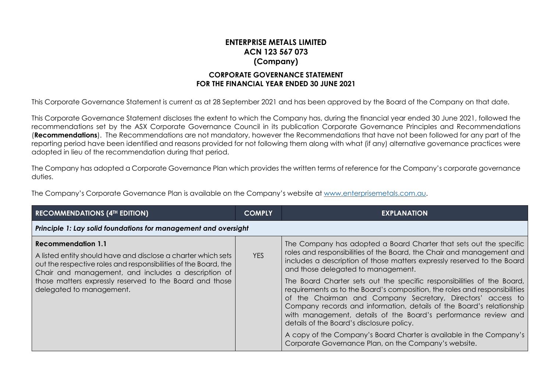## **ENTERPRISE METALS LIMITED ACN 123 567 073 (Company) CORPORATE GOVERNANCE STATEMENT**

## **FOR THE FINANCIAL YEAR ENDED 30 JUNE 2021**

This Corporate Governance Statement is current as at 28 September 2021 and has been approved by the Board of the Company on that date.

This Corporate Governance Statement discloses the extent to which the Company has, during the financial year ended 30 June 2021, followed the recommendations set by the ASX Corporate Governance Council in its publication Corporate Governance Principles and Recommendations (**Recommendations**). The Recommendations are not mandatory, however the Recommendations that have not been followed for any part of the reporting period have been identified and reasons provided for not following them along with what (if any) alternative governance practices were adopted in lieu of the recommendation during that period.

The Company has adopted a Corporate Governance Plan which provides the written terms of reference for the Company's corporate governance duties.

The Company's Corporate Governance Plan is available on the Company's website at [www.enterprisemetals.com.au.](http://www.enterprisemetals.com.au/)

| <b>RECOMMENDATIONS (4TH EDITION)</b>                                                                                                                                                                                                                                                                 | <b>COMPLY</b> | <b>EXPLANATION</b>                                                                                                                                                                                                                                                                                                                                                                                                                                                                                                                                                                                                                                                                                                                                                                                        |  |
|------------------------------------------------------------------------------------------------------------------------------------------------------------------------------------------------------------------------------------------------------------------------------------------------------|---------------|-----------------------------------------------------------------------------------------------------------------------------------------------------------------------------------------------------------------------------------------------------------------------------------------------------------------------------------------------------------------------------------------------------------------------------------------------------------------------------------------------------------------------------------------------------------------------------------------------------------------------------------------------------------------------------------------------------------------------------------------------------------------------------------------------------------|--|
| Principle 1: Lay solid foundations for management and oversight                                                                                                                                                                                                                                      |               |                                                                                                                                                                                                                                                                                                                                                                                                                                                                                                                                                                                                                                                                                                                                                                                                           |  |
| Recommendation 1.1<br>A listed entity should have and disclose a charter which sets<br>out the respective roles and responsibilities of the Board, the<br>Chair and management, and includes a description of<br>those matters expressly reserved to the Board and those<br>delegated to management. | <b>YES</b>    | The Company has adopted a Board Charter that sets out the specific<br>roles and responsibilities of the Board, the Chair and management and<br>includes a description of those matters expressly reserved to the Board<br>and those delegated to management.<br>The Board Charter sets out the specific responsibilities of the Board,<br>requirements as to the Board's composition, the roles and responsibilities<br>of the Chairman and Company Secretary, Directors' access to<br>Company records and information, details of the Board's relationship<br>with management, details of the Board's performance review and<br>details of the Board's disclosure policy.<br>A copy of the Company's Board Charter is available in the Company's<br>Corporate Governance Plan, on the Company's website. |  |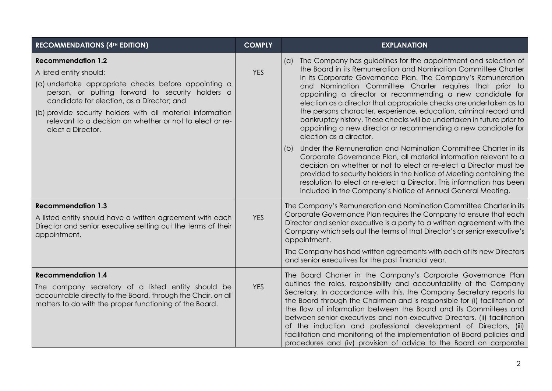| <b>RECOMMENDATIONS (4TH EDITION)</b>                                                                                                                                                                                                                                                                                                                          | <b>COMPLY</b> | <b>EXPLANATION</b>                                                                                                                                                                                                                                                                                                                                                                                                                                                                                                                                                                                                                                             |
|---------------------------------------------------------------------------------------------------------------------------------------------------------------------------------------------------------------------------------------------------------------------------------------------------------------------------------------------------------------|---------------|----------------------------------------------------------------------------------------------------------------------------------------------------------------------------------------------------------------------------------------------------------------------------------------------------------------------------------------------------------------------------------------------------------------------------------------------------------------------------------------------------------------------------------------------------------------------------------------------------------------------------------------------------------------|
| <b>Recommendation 1.2</b><br>A listed entity should:<br>(a) undertake appropriate checks before appointing a<br>person, or putting forward to security holders a<br>candidate for election, as a Director; and<br>(b) provide security holders with all material information<br>relevant to a decision on whether or not to elect or re-<br>elect a Director. | <b>YES</b>    | The Company has guidelines for the appointment and selection of<br>(a)<br>the Board in its Remuneration and Nomination Committee Charter<br>in its Corporate Governance Plan. The Company's Remuneration<br>and Nomination Committee Charter requires that prior to<br>appointing a director or recommending a new candidate for<br>election as a director that appropriate checks are undertaken as to<br>the persons character, experience, education, criminal record and<br>bankruptcy history. These checks will be undertaken in future prior to<br>appointing a new director or recommending a new candidate for<br>election as a director.             |
|                                                                                                                                                                                                                                                                                                                                                               |               | Under the Remuneration and Nomination Committee Charter in its<br>(b)<br>Corporate Governance Plan, all material information relevant to a<br>decision on whether or not to elect or re-elect a Director must be<br>provided to security holders in the Notice of Meeting containing the<br>resolution to elect or re-elect a Director. This information has been<br>included in the Company's Notice of Annual General Meeting.                                                                                                                                                                                                                               |
| <b>Recommendation 1.3</b><br>A listed entity should have a written agreement with each<br>Director and senior executive setting out the terms of their<br>appointment.                                                                                                                                                                                        | <b>YES</b>    | The Company's Remuneration and Nomination Committee Charter in its<br>Corporate Governance Plan requires the Company to ensure that each<br>Director and senior executive is a party to a written agreement with the<br>Company which sets out the terms of that Director's or senior executive's<br>appointment.<br>The Company has had written agreements with each of its new Directors<br>and senior executives for the past financial year.                                                                                                                                                                                                               |
| <b>Recommendation 1.4</b><br>The company secretary of a listed entity should be<br>accountable directly to the Board, through the Chair, on all<br>matters to do with the proper functioning of the Board.                                                                                                                                                    | <b>YES</b>    | The Board Charter in the Company's Corporate Governance Plan<br>outlines the roles, responsibility and accountability of the Company<br>Secretary. In accordance with this, the Company Secretary reports to<br>the Board through the Chairman and is responsible for (i) facilitation of<br>the flow of information between the Board and its Committees and<br>between senior executives and non-executive Directors, (ii) facilitation<br>of the induction and professional development of Directors, (iii)<br>facilitation and monitoring of the implementation of Board policies and<br>procedures and (iv) provision of advice to the Board on corporate |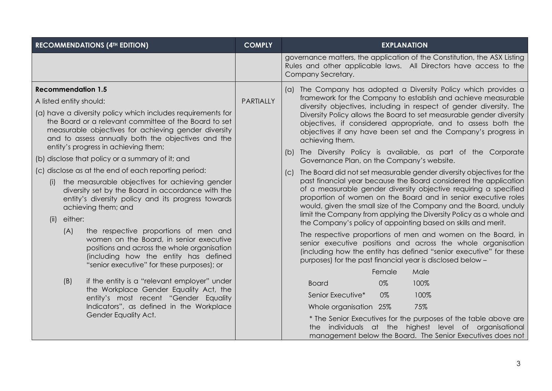| <b>RECOMMENDATIONS (4TH EDITION)</b>                                                                                                                                                                                                                                       | <b>COMPLY</b>    | <b>EXPLANATION</b>                                                                                                                                                                                                                                                                                                                |  |                                                                                                                                                                                                                                                                                                                                                   |
|----------------------------------------------------------------------------------------------------------------------------------------------------------------------------------------------------------------------------------------------------------------------------|------------------|-----------------------------------------------------------------------------------------------------------------------------------------------------------------------------------------------------------------------------------------------------------------------------------------------------------------------------------|--|---------------------------------------------------------------------------------------------------------------------------------------------------------------------------------------------------------------------------------------------------------------------------------------------------------------------------------------------------|
|                                                                                                                                                                                                                                                                            |                  | governance matters, the application of the Constitution, the ASX Listing<br>Rules and other applicable laws. All Directors have access to the<br>Company Secretary.                                                                                                                                                               |  |                                                                                                                                                                                                                                                                                                                                                   |
| <b>Recommendation 1.5</b><br>A listed entity should:                                                                                                                                                                                                                       | <b>PARTIALLY</b> | (a) The Company has adopted a Diversity Policy which provides a<br>framework for the Company to establish and achieve measurable                                                                                                                                                                                                  |  |                                                                                                                                                                                                                                                                                                                                                   |
| (a) have a diversity policy which includes requirements for<br>the Board or a relevant committee of the Board to set<br>measurable objectives for achieving gender diversity<br>and to assess annually both the objectives and the<br>entity's progress in achieving them; |                  | diversity objectives, including in respect of gender diversity. The<br>Diversity Policy allows the Board to set measurable gender diversity<br>objectives, if considered appropriate, and to assess both the<br>objectives if any have been set and the Company's progress in<br>achieving them.                                  |  |                                                                                                                                                                                                                                                                                                                                                   |
| (b) disclose that policy or a summary of it; and                                                                                                                                                                                                                           |                  | (b) The Diversity Policy is available, as part of the Corporate<br>Governance Plan, on the Company's website.                                                                                                                                                                                                                     |  |                                                                                                                                                                                                                                                                                                                                                   |
| (c) disclose as at the end of each reporting period:                                                                                                                                                                                                                       |                  | The Board did not set measurable gender diversity objectives for the                                                                                                                                                                                                                                                              |  |                                                                                                                                                                                                                                                                                                                                                   |
| the measurable objectives for achieving gender<br>(i)<br>diversity set by the Board in accordance with the<br>entity's diversity policy and its progress towards<br>achieving them; and<br>either:<br>(ii)                                                                 |                  |                                                                                                                                                                                                                                                                                                                                   |  | past financial year because the Board considered the application<br>of a measurable gender diversity objective requiring a specified<br>proportion of women on the Board and in senior executive roles<br>would, given the small size of the Company and the Board, unduly<br>limit the Company from applying the Diversity Policy as a whole and |
| (A)<br>the respective proportions of men and<br>women on the Board, in senior executive<br>positions and across the whole organisation<br>(including how the entity has defined<br>"senior executive" for these purposes); or                                              |                  | the Company's policy of appointing based on skills and merit.<br>The respective proportions of men and women on the Board, in<br>senior executive positions and across the whole organisation<br>(including how the entity has defined "senior executive" for these<br>purposes) for the past financial year is disclosed below - |  |                                                                                                                                                                                                                                                                                                                                                   |
|                                                                                                                                                                                                                                                                            |                  | Female<br>Male                                                                                                                                                                                                                                                                                                                    |  |                                                                                                                                                                                                                                                                                                                                                   |
| (B)<br>if the entity is a "relevant employer" under<br>the Workplace Gender Equality Act, the                                                                                                                                                                              |                  | 100%<br><b>Board</b><br>0%                                                                                                                                                                                                                                                                                                        |  |                                                                                                                                                                                                                                                                                                                                                   |
| entity's most recent "Gender Equality                                                                                                                                                                                                                                      |                  | Senior Executive*<br>0%<br>100%                                                                                                                                                                                                                                                                                                   |  |                                                                                                                                                                                                                                                                                                                                                   |
| Indicators", as defined in the Workplace                                                                                                                                                                                                                                   |                  | 75%<br>Whole organisation 25%                                                                                                                                                                                                                                                                                                     |  |                                                                                                                                                                                                                                                                                                                                                   |
| Gender Equality Act.                                                                                                                                                                                                                                                       |                  | * The Senior Executives for the purposes of the table above are<br>individuals at the highest level of organisational<br>the<br>management below the Board. The Senior Executives does not                                                                                                                                        |  |                                                                                                                                                                                                                                                                                                                                                   |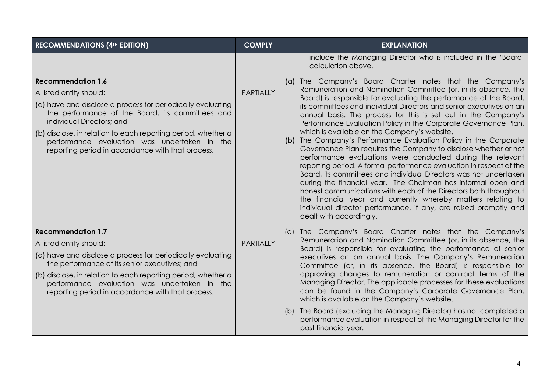| <b>RECOMMENDATIONS (4TH EDITION)</b>                                                                                                                                                                                                                                                                                                                                       | <b>COMPLY</b>    | <b>EXPLANATION</b>                                                                                                                                                                                                                                                                                                                                                                                                                                                                                                                                                                                                                                                                                                                                                                                                                                                                                                                                                                                                                                                                                                |
|----------------------------------------------------------------------------------------------------------------------------------------------------------------------------------------------------------------------------------------------------------------------------------------------------------------------------------------------------------------------------|------------------|-------------------------------------------------------------------------------------------------------------------------------------------------------------------------------------------------------------------------------------------------------------------------------------------------------------------------------------------------------------------------------------------------------------------------------------------------------------------------------------------------------------------------------------------------------------------------------------------------------------------------------------------------------------------------------------------------------------------------------------------------------------------------------------------------------------------------------------------------------------------------------------------------------------------------------------------------------------------------------------------------------------------------------------------------------------------------------------------------------------------|
|                                                                                                                                                                                                                                                                                                                                                                            |                  | include the Managing Director who is included in the 'Board'<br>calculation above.                                                                                                                                                                                                                                                                                                                                                                                                                                                                                                                                                                                                                                                                                                                                                                                                                                                                                                                                                                                                                                |
| <b>Recommendation 1.6</b><br>A listed entity should:<br>(a) have and disclose a process for periodically evaluating<br>the performance of the Board, its committees and<br>individual Directors; and<br>(b) disclose, in relation to each reporting period, whether a<br>performance evaluation was undertaken in the<br>reporting period in accordance with that process. | <b>PARTIALLY</b> | (a) The Company's Board Charter notes that the Company's<br>Remuneration and Nomination Committee (or, in its absence, the<br>Board) is responsible for evaluating the performance of the Board,<br>its committees and individual Directors and senior executives on an<br>annual basis. The process for this is set out in the Company's<br>Performance Evaluation Policy in the Corporate Governance Plan,<br>which is available on the Company's website.<br>(b) The Company's Performance Evaluation Policy in the Corporate<br>Governance Plan requires the Company to disclose whether or not<br>performance evaluations were conducted during the relevant<br>reporting period. A formal performance evaluation in respect of the<br>Board, its committees and individual Directors was not undertaken<br>during the financial year. The Chairman has informal open and<br>honest communications with each of the Directors both throughout<br>the financial year and currently whereby matters relating to<br>individual director performance, if any, are raised promptly and<br>dealt with accordingly. |
| <b>Recommendation 1.7</b><br>A listed entity should:<br>(a) have and disclose a process for periodically evaluating<br>the performance of its senior executives; and<br>(b) disclose, in relation to each reporting period, whether a<br>performance evaluation was undertaken in the<br>reporting period in accordance with that process.                                 | <b>PARTIALLY</b> | (a) The Company's Board Charter notes that the Company's<br>Remuneration and Nomination Committee (or, in its absence, the<br>Board) is responsible for evaluating the performance of senior<br>executives on an annual basis. The Company's Remuneration<br>Committee (or, in its absence, the Board) is responsible for<br>approving changes to remuneration or contract terms of the<br>Managing Director. The applicable processes for these evaluations<br>can be found in the Company's Corporate Governance Plan,<br>which is available on the Company's website.<br>The Board (excluding the Managing Director) has not completed a<br>(D)<br>performance evaluation in respect of the Managing Director for the<br>past financial year.                                                                                                                                                                                                                                                                                                                                                                  |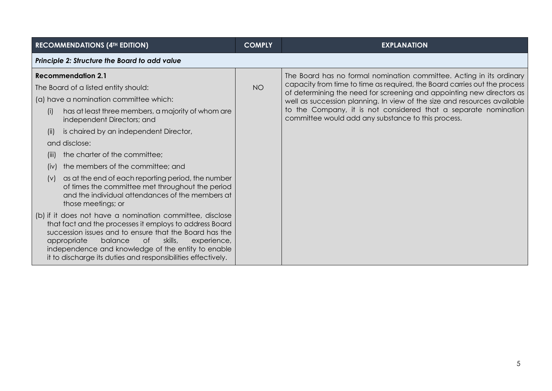| <b>RECOMMENDATIONS (4TH EDITION)</b>                                                                                                                                                                                                                                                                                                                          | <b>COMPLY</b> | <b>EXPLANATION</b>                                                                                                                                 |  |  |
|---------------------------------------------------------------------------------------------------------------------------------------------------------------------------------------------------------------------------------------------------------------------------------------------------------------------------------------------------------------|---------------|----------------------------------------------------------------------------------------------------------------------------------------------------|--|--|
| Principle 2: Structure the Board to add value                                                                                                                                                                                                                                                                                                                 |               |                                                                                                                                                    |  |  |
| <b>Recommendation 2.1</b>                                                                                                                                                                                                                                                                                                                                     |               | The Board has no formal nomination committee. Acting in its ordinary                                                                               |  |  |
| The Board of a listed entity should:                                                                                                                                                                                                                                                                                                                          | <b>NO</b>     | capacity from time to time as required, the Board carries out the process<br>of determining the need for screening and appointing new directors as |  |  |
| (a) have a nomination committee which:                                                                                                                                                                                                                                                                                                                        |               | well as succession planning. In view of the size and resources available                                                                           |  |  |
| has at least three members, a majority of whom are<br>(i)<br>independent Directors; and                                                                                                                                                                                                                                                                       |               | to the Company, it is not considered that a separate nomination<br>committee would add any substance to this process.                              |  |  |
| is chaired by an independent Director,<br>(ii)                                                                                                                                                                                                                                                                                                                |               |                                                                                                                                                    |  |  |
| and disclose:                                                                                                                                                                                                                                                                                                                                                 |               |                                                                                                                                                    |  |  |
| the charter of the committee;<br>(III)                                                                                                                                                                                                                                                                                                                        |               |                                                                                                                                                    |  |  |
| the members of the committee; and<br>(iv)                                                                                                                                                                                                                                                                                                                     |               |                                                                                                                                                    |  |  |
| as at the end of each reporting period, the number<br>(V)<br>of times the committee met throughout the period<br>and the individual attendances of the members at<br>those meetings; or                                                                                                                                                                       |               |                                                                                                                                                    |  |  |
| (b) if it does not have a nomination committee, disclose<br>that fact and the processes it employs to address Board<br>succession issues and to ensure that the Board has the<br>skills,<br>appropriate<br>balance<br>of<br>experience,<br>independence and knowledge of the entity to enable<br>it to discharge its duties and responsibilities effectively. |               |                                                                                                                                                    |  |  |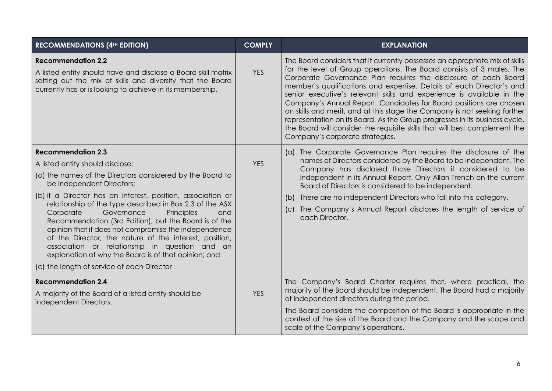| <b>RECOMMENDATIONS (4TH EDITION)</b>                                                                                                                                                                                                                                                                                                                                                                                                                                                                                                                                                                                                                                  | <b>COMPLY</b> | <b>EXPLANATION</b>                                                                                                                                                                                                                                                                                                                                                                                                                                                                                                                                                                                                                                                                                                            |
|-----------------------------------------------------------------------------------------------------------------------------------------------------------------------------------------------------------------------------------------------------------------------------------------------------------------------------------------------------------------------------------------------------------------------------------------------------------------------------------------------------------------------------------------------------------------------------------------------------------------------------------------------------------------------|---------------|-------------------------------------------------------------------------------------------------------------------------------------------------------------------------------------------------------------------------------------------------------------------------------------------------------------------------------------------------------------------------------------------------------------------------------------------------------------------------------------------------------------------------------------------------------------------------------------------------------------------------------------------------------------------------------------------------------------------------------|
| <b>Recommendation 2.2</b><br>A listed entity should have and disclose a Board skill matrix<br>setting out the mix of skills and diversity that the Board<br>currently has or is looking to achieve in its membership.                                                                                                                                                                                                                                                                                                                                                                                                                                                 | <b>YES</b>    | The Board considers that it currently possesses an appropriate mix of skills<br>for the level of Group operations. The Board consists of 3 males. The<br>Corporate Governance Plan requires the disclosure of each Board<br>member's qualifications and expertise. Details of each Director's and<br>senior executive's relevant skills and experience is available in the<br>Company's Annual Report. Candidates for Board positions are chosen<br>on skills and merit, and at this stage the Company is not seeking further<br>representation on its Board. As the Group progresses in its business cycle,<br>the Board will consider the requisite skills that will best complement the<br>Company's corporate strategies. |
| <b>Recommendation 2.3</b><br>A listed entity should disclose:<br>(a) the names of the Directors considered by the Board to<br>be independent Directors;<br>(b) if a Director has an interest, position, association or<br>relationship of the type described in Box 2.3 of the ASX<br>Corporate<br>Governance<br>Principles<br>and<br>Recommendation (3rd Edition), but the Board is of the<br>opinion that it does not compromise the independence<br>of the Director, the nature of the interest, position,<br>association or relationship in question and an<br>explanation of why the Board is of that opinion; and<br>(c) the length of service of each Director | <b>YES</b>    | (a) The Corporate Governance Plan requires the disclosure of the<br>names of Directors considered by the Board to be independent. The<br>Company has disclosed those Directors it considered to be<br>independent in its Annual Report. Only Allan Trench on the current<br>Board of Directors is considered to be independent.<br>There are no independent Directors who fall into this category.<br>(b)<br>The Company's Annual Report discloses the length of service of<br>(C)<br>each Director.                                                                                                                                                                                                                          |
| <b>Recommendation 2.4</b><br>A majority of the Board of a listed entity should be<br>independent Directors.                                                                                                                                                                                                                                                                                                                                                                                                                                                                                                                                                           | <b>YES</b>    | The Company's Board Charter requires that, where practical, the<br>majority of the Board should be independent. The Board had a majority<br>of independent directors during the period.<br>The Board considers the composition of the Board is appropriate in the<br>context of the size of the Board and the Company and the scope and<br>scale of the Company's operations.                                                                                                                                                                                                                                                                                                                                                 |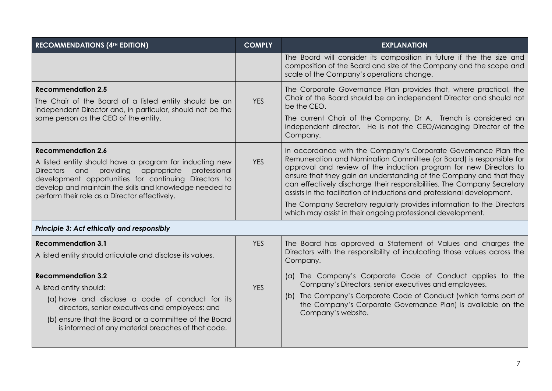| <b>RECOMMENDATIONS (4TH EDITION)</b>                                                                                                                                                                                                                                                                                   | <b>COMPLY</b> | <b>EXPLANATION</b>                                                                                                                                                                                                                                                                                                                                                                                                                      |
|------------------------------------------------------------------------------------------------------------------------------------------------------------------------------------------------------------------------------------------------------------------------------------------------------------------------|---------------|-----------------------------------------------------------------------------------------------------------------------------------------------------------------------------------------------------------------------------------------------------------------------------------------------------------------------------------------------------------------------------------------------------------------------------------------|
|                                                                                                                                                                                                                                                                                                                        |               | The Board will consider its composition in future if the the size and<br>composition of the Board and size of the Company and the scope and<br>scale of the Company's operations change.                                                                                                                                                                                                                                                |
| <b>Recommendation 2.5</b><br>The Chair of the Board of a listed entity should be an<br>independent Director and, in particular, should not be the                                                                                                                                                                      | <b>YES</b>    | The Corporate Governance Plan provides that, where practical, the<br>Chair of the Board should be an independent Director and should not<br>be the CEO.                                                                                                                                                                                                                                                                                 |
| same person as the CEO of the entity.                                                                                                                                                                                                                                                                                  |               | The current Chair of the Company, Dr A. Trench is considered an<br>independent director. He is not the CEO/Managing Director of the<br>Company.                                                                                                                                                                                                                                                                                         |
| <b>Recommendation 2.6</b><br>A listed entity should have a program for inducting new<br>providing<br>appropriate<br>professional<br>Directors and<br>development opportunities for continuing Directors to<br>develop and maintain the skills and knowledge needed to<br>perform their role as a Director effectively. | <b>YES</b>    | In accordance with the Company's Corporate Governance Plan the<br>Remuneration and Nomination Committee (or Board) is responsible for<br>approval and review of the induction program for new Directors to<br>ensure that they gain an understanding of the Company and that they<br>can effectively discharge their responsibilities. The Company Secretary<br>assists in the facilitation of inductions and professional development. |
|                                                                                                                                                                                                                                                                                                                        |               | The Company Secretary regularly provides information to the Directors<br>which may assist in their ongoing professional development.                                                                                                                                                                                                                                                                                                    |
| Principle 3: Act ethically and responsibly                                                                                                                                                                                                                                                                             |               |                                                                                                                                                                                                                                                                                                                                                                                                                                         |
| <b>Recommendation 3.1</b><br>A listed entity should articulate and disclose its values.                                                                                                                                                                                                                                | <b>YES</b>    | The Board has approved a Statement of Values and charges the<br>Directors with the responsibility of inculcating those values across the<br>Company.                                                                                                                                                                                                                                                                                    |
| <b>Recommendation 3.2</b><br>A listed entity should:<br>(a) have and disclose a code of conduct for its<br>directors, senior executives and employees; and<br>(b) ensure that the Board or a committee of the Board<br>is informed of any material breaches of that code.                                              | <b>YES</b>    | (a) The Company's Corporate Code of Conduct applies to the<br>Company's Directors, senior executives and employees.<br>(b) The Company's Corporate Code of Conduct (which forms part of<br>the Company's Corporate Governance Plan) is available on the<br>Company's website.                                                                                                                                                           |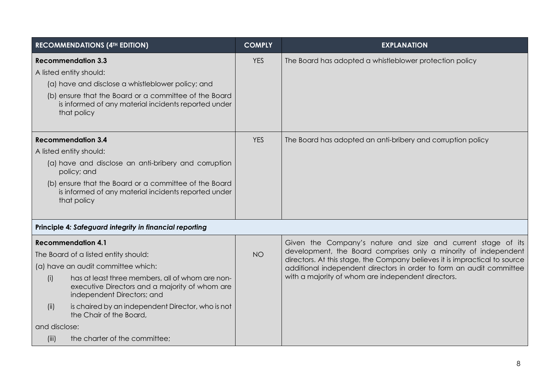| <b>RECOMMENDATIONS (4TH EDITION)</b> |                                                                                                                                  | <b>COMPLY</b> | <b>EXPLANATION</b>                                                                                                                            |
|--------------------------------------|----------------------------------------------------------------------------------------------------------------------------------|---------------|-----------------------------------------------------------------------------------------------------------------------------------------------|
| <b>Recommendation 3.3</b>            |                                                                                                                                  | <b>YES</b>    | The Board has adopted a whistleblower protection policy                                                                                       |
| A listed entity should:              |                                                                                                                                  |               |                                                                                                                                               |
|                                      | (a) have and disclose a whistleblower policy; and                                                                                |               |                                                                                                                                               |
| that policy                          | (b) ensure that the Board or a committee of the Board<br>is informed of any material incidents reported under                    |               |                                                                                                                                               |
| <b>Recommendation 3.4</b>            |                                                                                                                                  | <b>YES</b>    | The Board has adopted an anti-bribery and corruption policy                                                                                   |
| A listed entity should:              |                                                                                                                                  |               |                                                                                                                                               |
| policy; and                          | (a) have and disclose an anti-bribery and corruption                                                                             |               |                                                                                                                                               |
| that policy                          | (b) ensure that the Board or a committee of the Board<br>is informed of any material incidents reported under                    |               |                                                                                                                                               |
|                                      | Principle 4: Safeguard integrity in financial reporting                                                                          |               |                                                                                                                                               |
| <b>Recommendation 4.1</b>            |                                                                                                                                  |               | Given the Company's nature and size and current stage of its                                                                                  |
| The Board of a listed entity should: |                                                                                                                                  | <b>NO</b>     | development, the Board comprises only a minority of independent<br>directors. At this stage, the Company believes it is impractical to source |
| (a) have an audit committee which:   |                                                                                                                                  |               | additional independent directors in order to form an audit committee                                                                          |
| (i)                                  | has at least three members, all of whom are non-<br>executive Directors and a majority of whom are<br>independent Directors; and |               | with a majority of whom are independent directors.                                                                                            |
| (ii)                                 | is chaired by an independent Director, who is not<br>the Chair of the Board,                                                     |               |                                                                                                                                               |
| and disclose:                        |                                                                                                                                  |               |                                                                                                                                               |
| (iii)                                | the charter of the committee;                                                                                                    |               |                                                                                                                                               |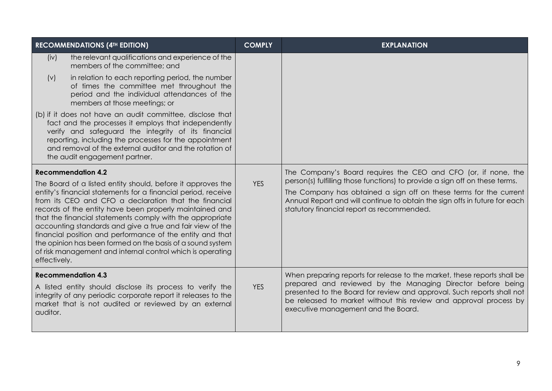| <b>RECOMMENDATIONS (4TH EDITION)</b>                                                                                                                                                                                                                                                                                                                                                                                                                                                                                                                                                | <b>COMPLY</b> | <b>EXPLANATION</b>                                                                                                                                                                                                                                                                                                            |
|-------------------------------------------------------------------------------------------------------------------------------------------------------------------------------------------------------------------------------------------------------------------------------------------------------------------------------------------------------------------------------------------------------------------------------------------------------------------------------------------------------------------------------------------------------------------------------------|---------------|-------------------------------------------------------------------------------------------------------------------------------------------------------------------------------------------------------------------------------------------------------------------------------------------------------------------------------|
| the relevant qualifications and experience of the<br>(iv)<br>members of the committee; and<br>in relation to each reporting period, the number<br>(v)                                                                                                                                                                                                                                                                                                                                                                                                                               |               |                                                                                                                                                                                                                                                                                                                               |
| of times the committee met throughout the<br>period and the individual attendances of the<br>members at those meetings; or                                                                                                                                                                                                                                                                                                                                                                                                                                                          |               |                                                                                                                                                                                                                                                                                                                               |
| (b) if it does not have an audit committee, disclose that<br>fact and the processes it employs that independently<br>verify and safeguard the integrity of its financial<br>reporting, including the processes for the appointment<br>and removal of the external auditor and the rotation of<br>the audit engagement partner.                                                                                                                                                                                                                                                      |               |                                                                                                                                                                                                                                                                                                                               |
| <b>Recommendation 4.2</b>                                                                                                                                                                                                                                                                                                                                                                                                                                                                                                                                                           |               | The Company's Board requires the CEO and CFO (or, if none, the<br>person(s) fulfilling those functions) to provide a sign off on these terms.                                                                                                                                                                                 |
| The Board of a listed entity should, before it approves the<br>entity's financial statements for a financial period, receive<br>from its CEO and CFO a declaration that the financial<br>records of the entity have been properly maintained and<br>that the financial statements comply with the appropriate<br>accounting standards and give a true and fair view of the<br>financial position and performance of the entity and that<br>the opinion has been formed on the basis of a sound system<br>of risk management and internal control which is operating<br>effectively. | <b>YES</b>    | The Company has obtained a sign off on these terms for the current<br>Annual Report and will continue to obtain the sign offs in future for each<br>statutory financial report as recommended.                                                                                                                                |
| <b>Recommendation 4.3</b><br>A listed entity should disclose its process to verify the<br>integrity of any periodic corporate report it releases to the<br>market that is not audited or reviewed by an external<br>auditor.                                                                                                                                                                                                                                                                                                                                                        | <b>YES</b>    | When preparing reports for release to the market, these reports shall be<br>prepared and reviewed by the Managing Director before being<br>presented to the Board for review and approval. Such reports shall not<br>be released to market without this review and approval process by<br>executive management and the Board. |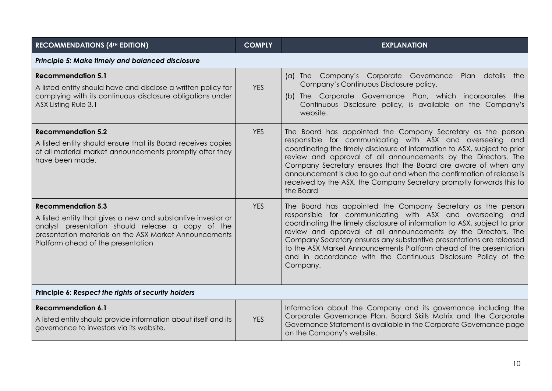| <b>RECOMMENDATIONS (4TH EDITION)</b>                                                                                                                                                                                                           | <b>COMPLY</b> | <b>EXPLANATION</b>                                                                                                                                                                                                                                                                                                                                                                                                                                                                                       |  |
|------------------------------------------------------------------------------------------------------------------------------------------------------------------------------------------------------------------------------------------------|---------------|----------------------------------------------------------------------------------------------------------------------------------------------------------------------------------------------------------------------------------------------------------------------------------------------------------------------------------------------------------------------------------------------------------------------------------------------------------------------------------------------------------|--|
| Principle 5: Make timely and balanced disclosure                                                                                                                                                                                               |               |                                                                                                                                                                                                                                                                                                                                                                                                                                                                                                          |  |
| <b>Recommendation 5.1</b><br>A listed entity should have and disclose a written policy for<br>complying with its continuous disclosure obligations under<br>ASX Listing Rule 3.1                                                               | <b>YES</b>    | (a) The Company's Corporate Governance Plan details the<br>Company's Continuous Disclosure policy.<br>(b) The Corporate Governance Plan, which incorporates the<br>Continuous Disclosure policy, is available on the Company's<br>website.                                                                                                                                                                                                                                                               |  |
| <b>Recommendation 5.2</b><br>A listed entity should ensure that its Board receives copies<br>of all material market announcements promptly after they<br>have been made.                                                                       | <b>YES</b>    | The Board has appointed the Company Secretary as the person<br>responsible for communicating with ASX and overseeing and<br>coordinating the timely disclosure of information to ASX, subject to prior<br>review and approval of all announcements by the Directors. The<br>Company Secretary ensures that the Board are aware of when any<br>announcement is due to go out and when the confirmation of release is<br>received by the ASX, the Company Secretary promptly forwards this to<br>the Board |  |
| <b>Recommendation 5.3</b><br>A listed entity that gives a new and substantive investor or<br>analyst presentation should release a copy of the<br>presentation materials on the ASX Market Announcements<br>Platform ahead of the presentation | <b>YES</b>    | The Board has appointed the Company Secretary as the person<br>responsible for communicating with ASX and overseeing and<br>coordinating the timely disclosure of information to ASX, subject to prior<br>review and approval of all announcements by the Directors. The<br>Company Secretary ensures any substantive presentations are released<br>to the ASX Market Announcements Platform ahead of the presentation<br>and in accordance with the Continuous Disclosure Policy of the<br>Company.     |  |
| Principle 6: Respect the rights of security holders                                                                                                                                                                                            |               |                                                                                                                                                                                                                                                                                                                                                                                                                                                                                                          |  |
| <b>Recommendation 6.1</b><br>A listed entity should provide information about itself and its<br>governance to investors via its website.                                                                                                       | <b>YES</b>    | Information about the Company and its governance including the<br>Corporate Governance Plan, Board Skills Matrix and the Corporate<br>Governance Statement is available in the Corporate Governance page<br>on the Company's website.                                                                                                                                                                                                                                                                    |  |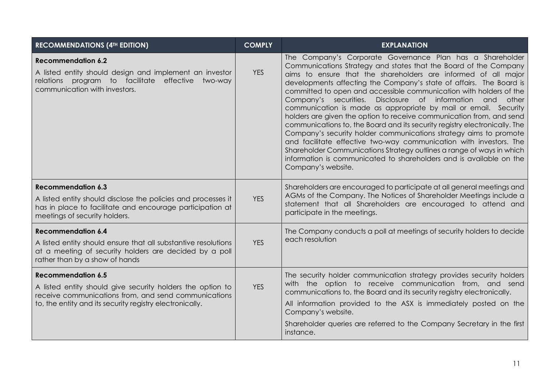| <b>RECOMMENDATIONS (4TH EDITION)</b>                                                                                                                                                                        | <b>COMPLY</b> | <b>EXPLANATION</b>                                                                                                                                                                                                                                                                                                                                                                                                                                                                                                                                                                                                                                                                                                                                                                                                                                                                                                                                           |
|-------------------------------------------------------------------------------------------------------------------------------------------------------------------------------------------------------------|---------------|--------------------------------------------------------------------------------------------------------------------------------------------------------------------------------------------------------------------------------------------------------------------------------------------------------------------------------------------------------------------------------------------------------------------------------------------------------------------------------------------------------------------------------------------------------------------------------------------------------------------------------------------------------------------------------------------------------------------------------------------------------------------------------------------------------------------------------------------------------------------------------------------------------------------------------------------------------------|
| <b>Recommendation 6.2</b><br>A listed entity should design and implement an investor<br>relations program to facilitate<br>effective<br>two-way<br>communication with investors.                            | <b>YES</b>    | The Company's Corporate Governance Plan has a Shareholder<br>Communications Strategy and states that the Board of the Company<br>aims to ensure that the shareholders are informed of all major<br>developments affecting the Company's state of affairs. The Board is<br>committed to open and accessible communication with holders of the<br>Disclosure of information<br>Company's securities.<br>and<br>other<br>communication is made as appropriate by mail or email. Security<br>holders are given the option to receive communication from, and send<br>communications to, the Board and its security registry electronically. The<br>Company's security holder communications strategy aims to promote<br>and facilitate effective two-way communication with investors. The<br>Shareholder Communications Strategy outlines a range of ways in which<br>information is communicated to shareholders and is available on the<br>Company's website. |
| <b>Recommendation 6.3</b><br>A listed entity should disclose the policies and processes it<br>has in place to facilitate and encourage participation at<br>meetings of security holders.                    | <b>YES</b>    | Shareholders are encouraged to participate at all general meetings and<br>AGMs of the Company. The Notices of Shareholder Meetings include a<br>statement that all Shareholders are encouraged to attend and<br>participate in the meetings.                                                                                                                                                                                                                                                                                                                                                                                                                                                                                                                                                                                                                                                                                                                 |
| <b>Recommendation 6.4</b><br>A listed entity should ensure that all substantive resolutions<br>at a meeting of security holders are decided by a poll<br>rather than by a show of hands                     | <b>YES</b>    | The Company conducts a poll at meetings of security holders to decide<br>each resolution                                                                                                                                                                                                                                                                                                                                                                                                                                                                                                                                                                                                                                                                                                                                                                                                                                                                     |
| <b>Recommendation 6.5</b><br>A listed entity should give security holders the option to<br>receive communications from, and send communications<br>to, the entity and its security registry electronically. | <b>YES</b>    | The security holder communication strategy provides security holders<br>with the option to receive communication from, and send<br>communications to, the Board and its security registry electronically.<br>All information provided to the ASX is immediately posted on the<br>Company's website.<br>Shareholder queries are referred to the Company Secretary in the first<br>instance.                                                                                                                                                                                                                                                                                                                                                                                                                                                                                                                                                                   |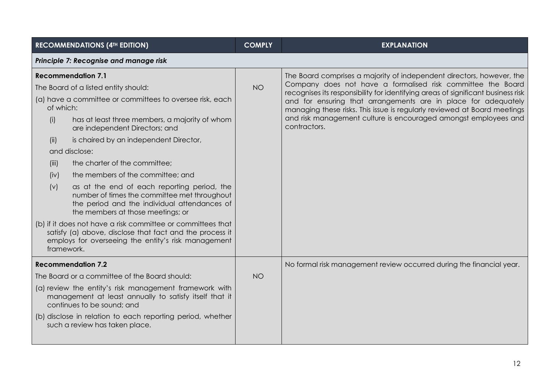|            | <b>RECOMMENDATIONS (4TH EDITION)</b>                                                                                                                                             | <b>COMPLY</b> | <b>EXPLANATION</b>                                                                                                                                                                                                       |
|------------|----------------------------------------------------------------------------------------------------------------------------------------------------------------------------------|---------------|--------------------------------------------------------------------------------------------------------------------------------------------------------------------------------------------------------------------------|
|            | Principle 7: Recognise and manage risk                                                                                                                                           |               |                                                                                                                                                                                                                          |
|            | <b>Recommendation 7.1</b><br>The Board of a listed entity should:                                                                                                                | <b>NO</b>     | The Board comprises a majority of independent directors, however, the<br>Company does not have a formalised risk committee the Board<br>recognises its responsibility for identifying areas of significant business risk |
| of which:  | (a) have a committee or committees to oversee risk, each                                                                                                                         |               | and for ensuring that arrangements are in place for adequately<br>managing these risks. This issue is regularly reviewed at Board meetings                                                                               |
| (i)        | has at least three members, a majority of whom<br>are independent Directors; and                                                                                                 |               | and risk management culture is encouraged amongst employees and<br>contractors.                                                                                                                                          |
| (ii)       | is chaired by an independent Director,                                                                                                                                           |               |                                                                                                                                                                                                                          |
|            | and disclose:                                                                                                                                                                    |               |                                                                                                                                                                                                                          |
| (iii)      | the charter of the committee;                                                                                                                                                    |               |                                                                                                                                                                                                                          |
| (iv)       | the members of the committee; and                                                                                                                                                |               |                                                                                                                                                                                                                          |
| (v)        | as at the end of each reporting period, the<br>number of times the committee met throughout<br>the period and the individual attendances of<br>the members at those meetings; or |               |                                                                                                                                                                                                                          |
| framework. | (b) if it does not have a risk committee or committees that<br>satisfy (a) above, disclose that fact and the process it<br>employs for overseeing the entity's risk management   |               |                                                                                                                                                                                                                          |
|            | <b>Recommendation 7.2</b>                                                                                                                                                        |               | No formal risk management review occurred during the financial year.                                                                                                                                                     |
|            | The Board or a committee of the Board should:                                                                                                                                    | <b>NO</b>     |                                                                                                                                                                                                                          |
|            | (a) review the entity's risk management framework with<br>management at least annually to satisfy itself that it<br>continues to be sound; and                                   |               |                                                                                                                                                                                                                          |
|            | (b) disclose in relation to each reporting period, whether<br>such a review has taken place.                                                                                     |               |                                                                                                                                                                                                                          |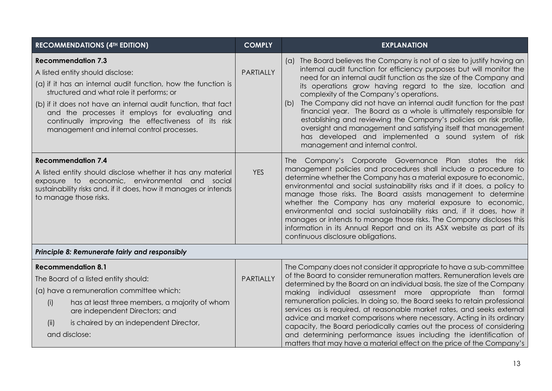| <b>RECOMMENDATIONS (4TH EDITION)</b>                                                                                                                                                                                                                                                                                                                                                                | <b>COMPLY</b>    | <b>EXPLANATION</b>                                                                                                                                                                                                                                                                                                                                                                                                                                                                                                                                                                                                                                                                                                                                 |  |
|-----------------------------------------------------------------------------------------------------------------------------------------------------------------------------------------------------------------------------------------------------------------------------------------------------------------------------------------------------------------------------------------------------|------------------|----------------------------------------------------------------------------------------------------------------------------------------------------------------------------------------------------------------------------------------------------------------------------------------------------------------------------------------------------------------------------------------------------------------------------------------------------------------------------------------------------------------------------------------------------------------------------------------------------------------------------------------------------------------------------------------------------------------------------------------------------|--|
| <b>Recommendation 7.3</b><br>A listed entity should disclose:<br>(a) if it has an internal audit function, how the function is<br>structured and what role it performs; or<br>(b) if it does not have an internal audit function, that fact<br>and the processes it employs for evaluating and<br>continually improving the effectiveness of its risk<br>management and internal control processes. | <b>PARTIALLY</b> | (a) The Board believes the Company is not of a size to justify having an<br>internal audit function for efficiency purposes but will monitor the<br>need for an internal audit function as the size of the Company and<br>its operations grow having regard to the size, location and<br>complexity of the Company's operations.<br>The Company did not have an internal audit function for the past<br>(b)<br>financial year. The Board as a whole is ultimately responsible for<br>establishing and reviewing the Company's policies on risk profile,<br>oversight and management and satisfying itself that management<br>has developed and implemented a sound system of risk<br>management and internal control.                              |  |
| <b>Recommendation 7.4</b><br>A listed entity should disclose whether it has any material<br>exposure to economic, environmental and social<br>sustainability risks and, if it does, how it manages or intends<br>to manage those risks.                                                                                                                                                             | <b>YES</b>       | The Company's Corporate Governance Plan states the risk<br>management policies and procedures shall include a procedure to<br>determine whether the Company has a material exposure to economic,<br>environmental and social sustainability risks and if it does, a policy to<br>manage those risks. The Board assists management to determine<br>whether the Company has any material exposure to economic,<br>environmental and social sustainability risks and, if it does, how it<br>manages or intends to manage those risks. The Company discloses this<br>information in its Annual Report and on its ASX website as part of its<br>continuous disclosure obligations.                                                                      |  |
| Principle 8: Remunerate fairly and responsibly                                                                                                                                                                                                                                                                                                                                                      |                  |                                                                                                                                                                                                                                                                                                                                                                                                                                                                                                                                                                                                                                                                                                                                                    |  |
| <b>Recommendation 8.1</b><br>The Board of a listed entity should:<br>(a) have a remuneration committee which:<br>has at least three members, a majority of whom<br>(i)<br>are independent Directors; and<br>is chaired by an independent Director,<br>(ii)<br>and disclose:                                                                                                                         | <b>PARTIALLY</b> | The Company does not consider it appropriate to have a sub-committee<br>of the Board to consider remuneration matters. Remuneration levels are<br>determined by the Board on an individual basis, the size of the Company<br>making individual assessment more appropriate than formal<br>remuneration policies. In doing so, the Board seeks to retain professional<br>services as is required, at reasonable market rates, and seeks external<br>advice and market comparisons where necessary. Acting in its ordinary<br>capacity, the Board periodically carries out the process of considering<br>and determining performance issues including the identification of<br>matters that may have a material effect on the price of the Company's |  |